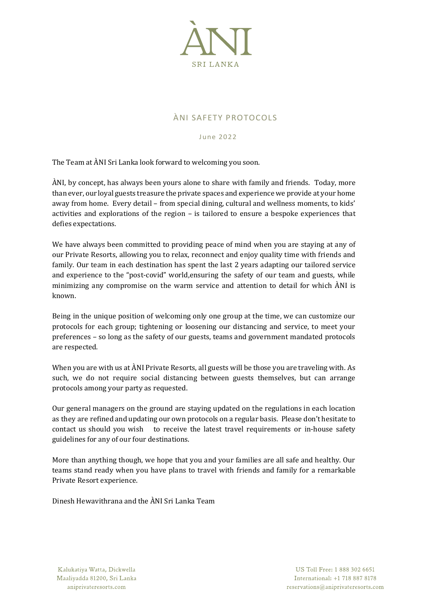

## ÀNI SAFETY PROTOCOLS

June 2022

The Team at ÀNI Sri Lanka look forward to welcoming you soon.

ÀNI, by concept, has always been yours alone to share with family and friends. Today, more than ever, our loyal guests treasure the private spaces and experience we provide at your home away from home. Every detail – from special dining, cultural and wellness moments, to kids' activities and explorations of the region – is tailored to ensure a bespoke experiences that defies expectations.

We have always been committed to providing peace of mind when you are staying at any of our Private Resorts, allowing you to relax, reconnect and enjoy quality time with friends and family. Our team in each destination has spent the last 2 years adapting our tailored service and experience to the "post-covid" world,ensuring the safety of our team and guests, while minimizing any compromise on the warm service and attention to detail for which ÀNI is known.

Being in the unique position of welcoming only one group at the time, we can customize our protocols for each group; tightening or loosening our distancing and service, to meet your preferences – so long as the safety of our guests, teams and government mandated protocols are respected.

When you are with us at ÀNI Private Resorts, all guests will be those you are traveling with. As such, we do not require social distancing between guests themselves, but can arrange protocols among your party as requested.

Our general managers on the ground are staying updated on the regulations in each location as they are refined and updating our own protocols on a regular basis. Please don't hesitate to contact us should you wish to receive the latest travel requirements or in-house safety guidelines for any of our four destinations.

More than anything though, we hope that you and your families are all safe and healthy. Our teams stand ready when you have plans to travel with friends and family for a remarkable Private Resort experience.

Dinesh Hewavithrana and the ÀNI Sri Lanka Team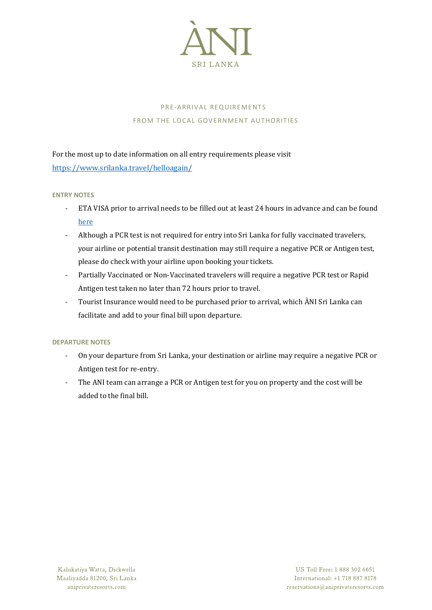

# PRE-ARRIVAL REQUIREMENTS FROM THE LOCAL GOVERNMENT AUTHORITIES

For the most up to date information on all entry requirements please visit <https://www.srilanka.travel/helloagain/>

## **ENTRY NOTES**

- ETA VISA prior to arrival needs to be filled out at least 24 hours in advance and can be found [here](https://www.eta.gov.lk/slvisa/visainfo/center.jsp;jsessionid=Yr4esGFA0tfPG8v-3CZXV1dD99ob67grk-Vq9Sf32uQla4ZEIhkb!-1809685792?locale=en_US)
- Although a PCR test is not required for entry into Sri Lanka for fully vaccinated travelers, your airline or potential transit destination may still require a negative PCR or Antigen test, please do check with your airline upon booking your tickets.
- Partially Vaccinated or Non-Vaccinated travelers will require a negative PCR test or Rapid Antigen test taken no later than 72 hours prior to travel.
- Tourist Insurance would need to be purchased prior to arrival, which ÀNI Sri Lanka can facilitate and add to your final bill upon departure.

## **DEPARTURE NOTES**

- On your departure from Sri Lanka, your destination or airline may require a negative PCR or Antigen test for re-entry.
- The ANI team can arrange a PCR or Antigen test for you on property and the cost will be added to the final bill.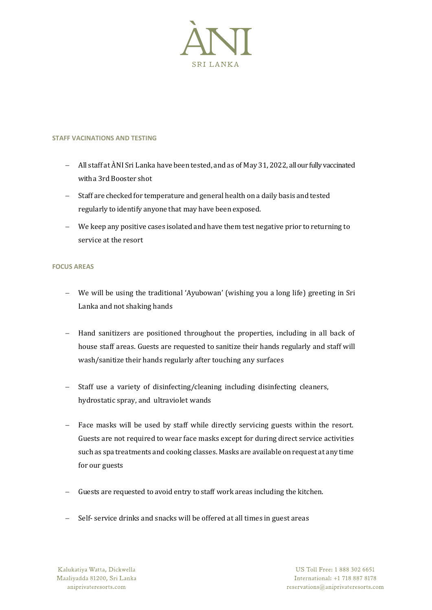

#### **STAFF VACINATIONS AND TESTING**

- − All staff at ÀNI Sri Lanka have been tested, and as of May 31, 2022, all our fully vaccinated with a 3rd Booster shot
- − Staff are checked for temperature and general health on a daily basis and tested regularly to identify anyone that may have been exposed.
- − We keep any positive cases isolated and have them test negative prior to returning to service at the resort

#### **FOCUS AREAS**

- − We will be using the traditional 'Ayubowan' (wishing you a long life) greeting in Sri Lanka and not shaking hands
- − Hand sanitizers are positioned throughout the properties, including in all back of house staff areas. Guests are requested to sanitize their hands regularly and staff will wash/sanitize their hands regularly after touching any surfaces
- − Staff use a variety of disinfecting/cleaning including disinfecting cleaners, hydrostatic spray, and ultraviolet wands
- − Face masks will be used by staff while directly servicing guests within the resort. Guests are not required to wear face masks except for during direct service activities such as spa treatments and cooking classes. Masks are available on request at any time for our guests
- Guests are requested to avoid entry to staff work areas including the kitchen.
- Self- service drinks and snacks will be offered at all times in guest areas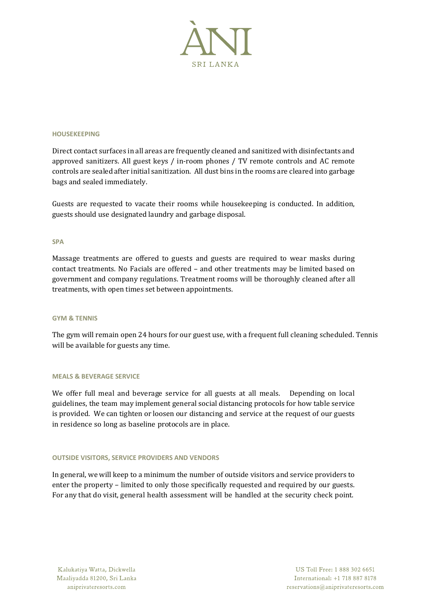

#### **HOUSEKEEPING**

Direct contact surfaces in all areas are frequently cleaned and sanitized with disinfectants and approved sanitizers. All guest keys / in-room phones / TV remote controls and AC remote controls are sealed after initial sanitization. All dust bins in the rooms are cleared into garbage bags and sealed immediately.

Guests are requested to vacate their rooms while housekeeping is conducted. In addition, guests should use designated laundry and garbage disposal.

#### **SPA**

Massage treatments are offered to guests and guests are required to wear masks during contact treatments. No Facials are offered – and other treatments may be limited based on government and company regulations. Treatment rooms will be thoroughly cleaned after all treatments, with open times set between appointments.

#### **GYM & TENNIS**

The gym will remain open 24 hours for our guest use, with a frequent full cleaning scheduled. Tennis will be available for guests any time.

#### **MEALS & BEVERAGE SERVICE**

We offer full meal and beverage service for all guests at all meals. Depending on local guidelines, the team may implement general social distancing protocols for how table service is provided. We can tighten or loosen our distancing and service at the request of our guests in residence so long as baseline protocols are in place.

#### **OUTSIDE VISITORS, SERVICE PROVIDERS AND VENDORS**

In general, we will keep to a minimum the number of outside visitors and service providers to enter the property – limited to only those specifically requested and required by our guests. For any that do visit, general health assessment will be handled at the security check point.